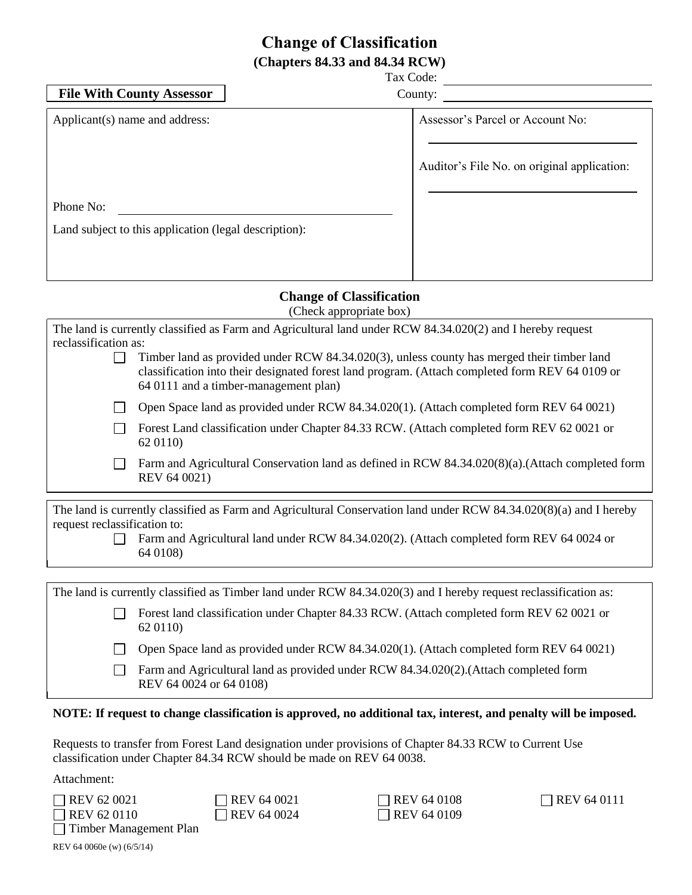# **Change of Classification (Chapters 84.33 and 84.34 RCW)**

Tax Code:

| <b>File With County Assessor</b>                      | County:                                     |
|-------------------------------------------------------|---------------------------------------------|
| Applicant(s) name and address:                        | Assessor's Parcel or Account No:            |
|                                                       | Auditor's File No. on original application: |
| Phone No:                                             |                                             |
| Land subject to this application (legal description): |                                             |
|                                                       |                                             |
|                                                       |                                             |

## **Change of Classification**

(Check appropriate box)

| The land is currently classified as Farm and Agricultural land under RCW 84.34.020(2) and I hereby request       |                                                                                                                                                                                                                                        |  |  |  |
|------------------------------------------------------------------------------------------------------------------|----------------------------------------------------------------------------------------------------------------------------------------------------------------------------------------------------------------------------------------|--|--|--|
| reclassification as:                                                                                             |                                                                                                                                                                                                                                        |  |  |  |
|                                                                                                                  | Timber land as provided under RCW 84.34.020(3), unless county has merged their timber land<br>classification into their designated forest land program. (Attach completed form REV 64 0109 or<br>64 0111 and a timber-management plan) |  |  |  |
|                                                                                                                  | Open Space land as provided under RCW 84.34.020(1). (Attach completed form REV 64 0021)                                                                                                                                                |  |  |  |
|                                                                                                                  | Forest Land classification under Chapter 84.33 RCW. (Attach completed form REV 62 0021 or<br>62 01 10)                                                                                                                                 |  |  |  |
|                                                                                                                  | Farm and Agricultural Conservation land as defined in RCW 84.34.020(8)(a).(Attach completed form<br>REV 64 0021)                                                                                                                       |  |  |  |
|                                                                                                                  |                                                                                                                                                                                                                                        |  |  |  |
|                                                                                                                  | The land is currently classified as Farm and Agricultural Conservation land under RCW 84.34.020(8)(a) and I hereby                                                                                                                     |  |  |  |
| request reclassification to:                                                                                     |                                                                                                                                                                                                                                        |  |  |  |
|                                                                                                                  | Farm and Agricultural land under RCW 84.34.020(2). (Attach completed form REV 64 0024 or<br>64 0108)                                                                                                                                   |  |  |  |
|                                                                                                                  |                                                                                                                                                                                                                                        |  |  |  |
| The land is currently classified as Timber land under RCW 84.34.020(3) and I hereby request reclassification as: |                                                                                                                                                                                                                                        |  |  |  |
|                                                                                                                  | Forest land classification under Chapter 84.33 RCW. (Attach completed form REV 62 0021 or<br>62 01 10)                                                                                                                                 |  |  |  |
|                                                                                                                  | Open Space land as provided under RCW 84.34.020(1). (Attach completed form REV 64 0021)                                                                                                                                                |  |  |  |
|                                                                                                                  | Farm and Agricultural land as provided under RCW 84.34.020(2).(Attach completed form<br>REV 64 0024 or 64 0108)                                                                                                                        |  |  |  |
|                                                                                                                  |                                                                                                                                                                                                                                        |  |  |  |

#### **NOTE: If request to change classification is approved, no additional tax, interest, and penalty will be imposed.**

Requests to transfer from Forest Land designation under provisions of Chapter 84.33 RCW to Current Use classification under Chapter 84.34 RCW should be made on REV 64 0038.

Attachment:

| $\Box$ REV 62 0021       |  |
|--------------------------|--|
| $\Box$ REV 62 0110       |  |
| □ Timber Management Plan |  |

| REV 64 0021 |  |
|-------------|--|
| REV 64 0024 |  |

 $\Box$  REV 64 0108  $\Box$  REV 64 0111  $\Box$  REV 64 0109

REV 64 0060e (w) (6/5/14)